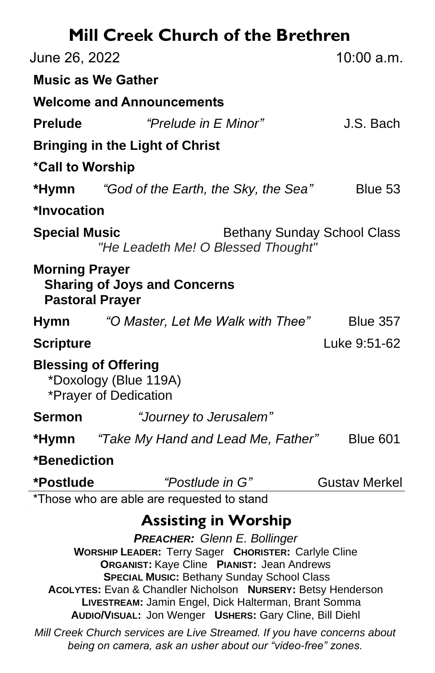| <b>Mill Creek Church of the Brethren</b>                                               |                                                                                                                                                                                                                                                                                                                                                                     |
|----------------------------------------------------------------------------------------|---------------------------------------------------------------------------------------------------------------------------------------------------------------------------------------------------------------------------------------------------------------------------------------------------------------------------------------------------------------------|
| June 26, 2022                                                                          | 10:00 a.m.                                                                                                                                                                                                                                                                                                                                                          |
| <b>Music as We Gather</b>                                                              |                                                                                                                                                                                                                                                                                                                                                                     |
| <b>Welcome and Announcements</b>                                                       |                                                                                                                                                                                                                                                                                                                                                                     |
| <b>Prelude</b>                                                                         | "Prelude in E Minor"<br>J.S. Bach                                                                                                                                                                                                                                                                                                                                   |
| <b>Bringing in the Light of Christ</b>                                                 |                                                                                                                                                                                                                                                                                                                                                                     |
| *Call to Worship                                                                       |                                                                                                                                                                                                                                                                                                                                                                     |
| *Hymn "God of the Earth, the Sky, the Sea"                                             | Blue 53                                                                                                                                                                                                                                                                                                                                                             |
| *Invocation                                                                            |                                                                                                                                                                                                                                                                                                                                                                     |
| <b>Special Music</b>                                                                   | <b>Bethany Sunday School Class</b><br>"He Leadeth Me! O Blessed Thought"                                                                                                                                                                                                                                                                                            |
| <b>Morning Prayer</b><br><b>Sharing of Joys and Concerns</b><br><b>Pastoral Prayer</b> |                                                                                                                                                                                                                                                                                                                                                                     |
| Hymn                                                                                   | "O Master, Let Me Walk with Thee" Blue 357                                                                                                                                                                                                                                                                                                                          |
| <b>Scripture</b>                                                                       | Luke 9:51-62                                                                                                                                                                                                                                                                                                                                                        |
| <b>Blessing of Offering</b><br>*Doxology (Blue 119A)<br>*Prayer of Dedication          |                                                                                                                                                                                                                                                                                                                                                                     |
| <b>Sermon</b>                                                                          | "Journey to Jerusalem"                                                                                                                                                                                                                                                                                                                                              |
| *Hymn "Take My Hand and Lead Me, Father"                                               | <b>Blue 601</b>                                                                                                                                                                                                                                                                                                                                                     |
| *Benediction                                                                           |                                                                                                                                                                                                                                                                                                                                                                     |
| *Postlude                                                                              | "Postlude in G"<br><b>Gustav Merkel</b>                                                                                                                                                                                                                                                                                                                             |
| *Those who are able are requested to stand                                             |                                                                                                                                                                                                                                                                                                                                                                     |
|                                                                                        | <b>Assisting in Worship</b><br><b>PREACHER: Glenn E. Bollinger</b><br><b>WORSHIP LEADER: Terry Sager CHORISTER: Carlyle Cline</b><br><b>ORGANIST: Kaye Cline PIANIST: Jean Andrews</b><br><b>SPECIAL MUSIC: Bethany Sunday School Class</b><br>ACOLYTES: Evan & Chandler Nicholson NURSERY: Betsy Henderson<br>LIVESTREAM: Jamin Engel, Dick Halterman, Brant Somma |

**AUDIO/VISUAL:** Jon Wenger **USHERS:** Gary Cline, Bill Diehl

*Mill Creek Church services are Live Streamed. If you have concerns about being on camera, ask an usher about our "video-free" zones.*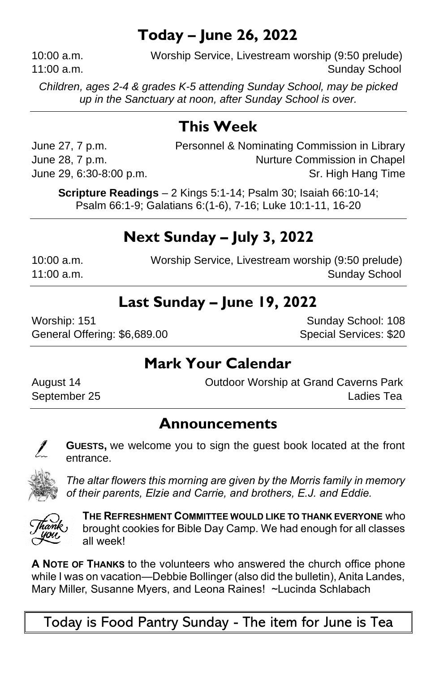## **Today – June 26, 2022**

10:00 a.m. Worship Service, Livestream worship (9:50 prelude) 11:00 a.m. Sunday School and Sunday School and Sunday School and Sunday School and Sunday School and Sunday School

*Children, ages 2-4 & grades K-5 attending Sunday School, may be picked up in the Sanctuary at noon, after Sunday School is over.*

# **This Week**

June 27, 7 p.m. Personnel & Nominating Commission in Library June 28, 7 p.m. Commission in Chapel June 29, 6:30-8:00 p.m. Sr. High Hang Time

**Scripture Readings** – 2 Kings 5:1-14; Psalm 30; Isaiah 66:10-14; Psalm 66:1-9; Galatians 6:(1-6), 7-16; Luke 10:1-11, 16-20

# **Next Sunday – July 3, 2022**

10:00 a.m. Worship Service, Livestream worship (9:50 prelude) 11:00 a.m. Sunday School

## **Last Sunday – June 19, 2022**

Worship: 151 Sunday School: 108 General Offering: \$6,689.00 Special Services: \$20

## **Mark Your Calendar**

August 14 Outdoor Worship at Grand Caverns Park September 25 Ladies Tea

### **Announcements**

I

**GUESTS,** we welcome you to sign the guest book located at the front entrance.



*The altar flowers this morning are given by the Morris family in memory of their parents, Elzie and Carrie, and brothers, E.J. and Eddie.*



**THE REFRESHMENT COMMITTEE WOULD LIKE TO THANK EVERYONE** who brought cookies for Bible Day Camp. We had enough for all classes all week!

**A NOTE OF THANKS** to the volunteers who answered the church office phone while I was on vacation—Debbie Bollinger (also did the bulletin), Anita Landes, Mary Miller, Susanne Myers, and Leona Raines! ~Lucinda Schlabach

Today is Food Pantry Sunday - The item for June is Tea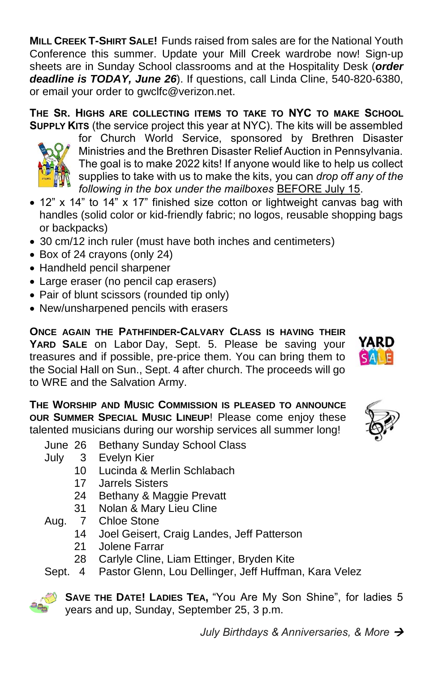*July Birthdays & Anniversaries, & More* →

**MILL CREEK T-SHIRT SALE!** Funds raised from sales are for the National Youth Conference this summer. Update your Mill Creek wardrobe now! Sign-up sheets are in Sunday School classrooms and at the Hospitality Desk (*order deadline is TODAY, June 26*). If questions, call Linda Cline, 540-820-6380, or email your order to gwclfc@verizon.net.

**THE SR. HIGHS ARE COLLECTING ITEMS TO TAKE TO NYC TO MAKE SCHOOL SUPPLY KITS** (the service project this year at NYC). The kits will be assembled

for Church World Service, sponsored by Brethren Disaster Ministries and the Brethren Disaster Relief Auction in Pennsylvania. The goal is to make 2022 kits! If anyone would like to help us collect supplies to take with us to make the kits, you can *drop off any of the following in the box under the mailboxes* BEFORE July 15.

- 12" x 14" to 14" x 17" finished size cotton or lightweight canvas bag with handles (solid color or kid-friendly fabric; no logos, reusable shopping bags or backpacks)
- 30 cm/12 inch ruler (must have both inches and centimeters)
- Box of 24 crayons (only 24)
- Handheld pencil sharpener
- Large eraser (no pencil cap erasers)
- Pair of blunt scissors (rounded tip only)
- New/unsharpened pencils with erasers

**ONCE AGAIN THE PATHFINDER-CALVARY CLASS IS HAVING THEIR YARD SALE** on Labor Day, Sept. 5. Please be saving your treasures and if possible, pre-price them. You can bring them to the Social Hall on Sun., Sept. 4 after church. The proceeds will go to WRE and the Salvation Army.

**THE WORSHIP AND MUSIC COMMISSION IS PLEASED TO ANNOUNCE OUR SUMMER SPECIAL MUSIC LINEUP**! Please come enjoy these talented musicians during our worship services all summer long!

June 26 Bethany Sunday School Class

- July 3 Evelyn Kier
	- 10 Lucinda & Merlin Schlabach
	- 17 Jarrels Sisters
	- 24 Bethany & Maggie Prevatt
	- 31 Nolan & Mary Lieu Cline
- Aug. 7 Chloe Stone
	- 14 Joel Geisert, Craig Landes, Jeff Patterson
	- 21 Jolene Farrar
	- 28 Carlyle Cline, Liam Ettinger, Bryden Kite
- Sept. 4 Pastor Glenn, Lou Dellinger, Jeff Huffman, Kara Velez



**SAVE THE DATE! LADIES TEA,** "You Are My Son Shine", for ladies 5 years and up, Sunday, September 25, 3 p.m.